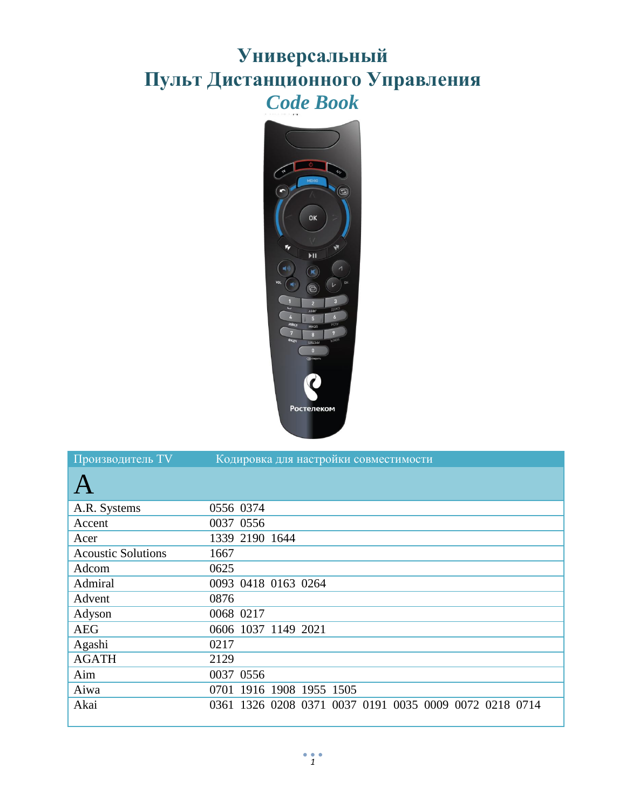## **Универсальный Пульт Дистанционного Управления** *Code Book*



| Производитель TV          | Кодировка для настройки совместимости                  |
|---------------------------|--------------------------------------------------------|
|                           |                                                        |
| A.R. Systems              | 0556 0374                                              |
| Accent                    | 0037 0556                                              |
| Acer                      | 1339 2190 1644                                         |
| <b>Acoustic Solutions</b> | 1667                                                   |
| Adcom                     | 0625                                                   |
| Admiral                   | 0093 0418 0163 0264                                    |
| Advent                    | 0876                                                   |
| Adyson                    | 0068 0217                                              |
| <b>AEG</b>                | 0606 1037 1149 2021                                    |
| Agashi                    | 0217                                                   |
| <b>AGATH</b>              | 2129                                                   |
| Aim                       | 0037 0556                                              |
| Aiwa                      | 0701 1916 1908 1955 1505                               |
| Akai                      | 0361 1326 0208 0371 0037 0191 0035 0009 0072 0218 0714 |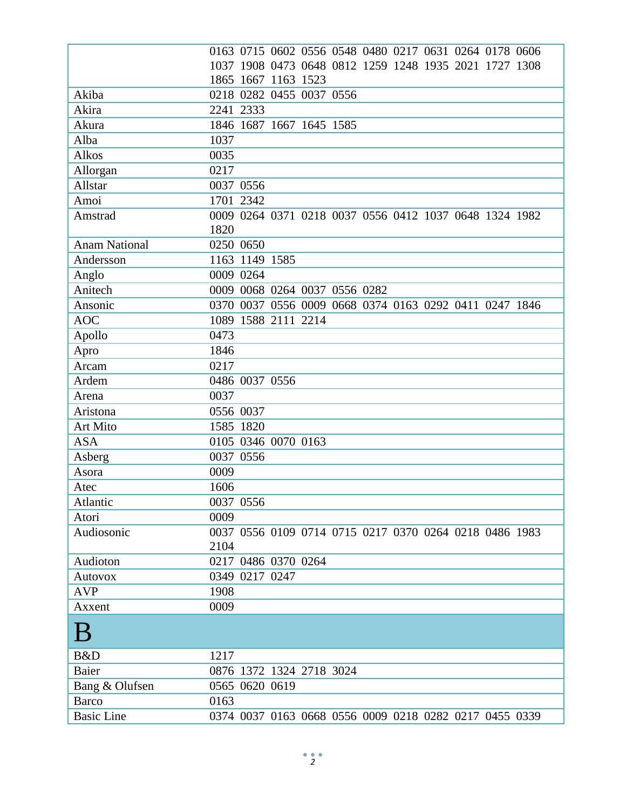|                                | 0163 0715 0602 0556 0548 0480 0217 0631 0264 0178 0606 |
|--------------------------------|--------------------------------------------------------|
|                                | 1037 1908 0473 0648 0812 1259 1248 1935 2021 1727 1308 |
|                                | 1865 1667 1163 1523                                    |
| Akiba                          | 0218 0282 0455 0037 0556                               |
| Akira                          | 2241 2333                                              |
| Akura                          | 1846 1687 1667 1645 1585                               |
| Alba                           | 1037                                                   |
| Alkos                          | 0035                                                   |
| Allorgan                       | 0217                                                   |
| Allstar                        | 0037 0556                                              |
| Amoi                           | 1701 2342                                              |
| Amstrad                        | 0009 0264 0371 0218 0037 0556 0412 1037 0648 1324 1982 |
|                                | 1820                                                   |
| <b>Anam National</b>           | 0250 0650                                              |
| Andersson                      | 1163 1149 1585                                         |
| Anglo                          | 0009 0264                                              |
| Anitech                        | 0009 0068 0264 0037 0556 0282                          |
| Ansonic                        | 0370 0037 0556 0009 0668 0374 0163 0292 0411 0247 1846 |
| <b>AOC</b>                     | 1089 1588 2111 2214                                    |
| Apollo                         | 0473                                                   |
| Apro                           | 1846                                                   |
| Arcam                          | 0217                                                   |
| Ardem                          | 0486 0037 0556                                         |
| Arena                          | 0037                                                   |
| Aristona                       | 0556 0037                                              |
| Art Mito                       | 1585 1820                                              |
| <b>ASA</b>                     | 0105 0346 0070 0163                                    |
| Asberg                         | 0037 0556                                              |
| Asora                          | 0009                                                   |
| Atec                           | 1606                                                   |
| Atlantic                       | 0037 0556                                              |
| Atori                          | 0009                                                   |
| Audiosonic                     | 0037 0556 0109 0714 0715 0217 0370 0264 0218 0486 1983 |
|                                | 2104                                                   |
| Audioton                       | 0217 0486 0370 0264                                    |
| <b>Autovox</b>                 | 0349 0217 0247                                         |
| <b>AVP</b>                     | 1908                                                   |
| Axxent                         | 0009                                                   |
| B                              |                                                        |
| B&D                            | 1217                                                   |
| Baier                          | 0876 1372 1324 2718 3024                               |
|                                | 0565 0620 0619                                         |
| Bang & Olufsen<br><b>Barco</b> | 0163                                                   |
|                                |                                                        |
| <b>Basic Line</b>              | 0374 0037 0163 0668 0556 0009 0218 0282 0217 0455 0339 |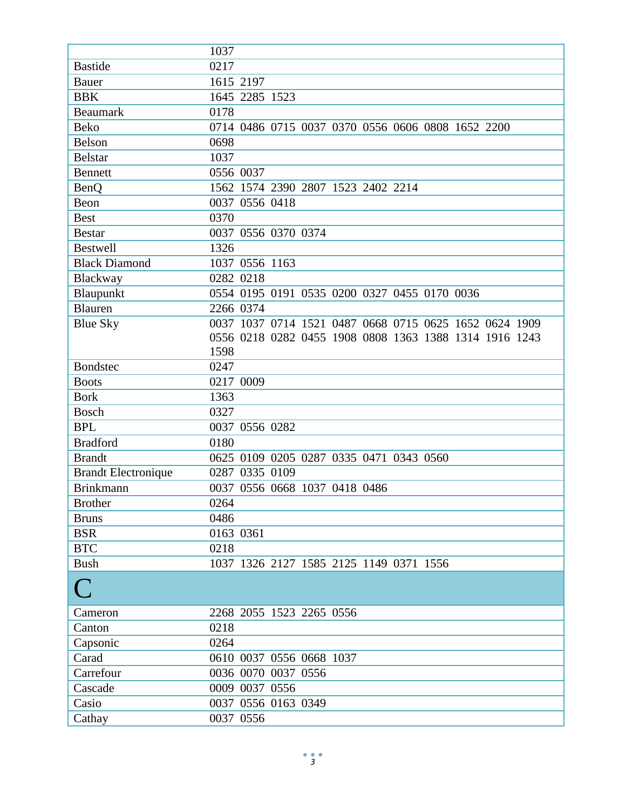|                            | 1037                                                   |
|----------------------------|--------------------------------------------------------|
| <b>Bastide</b>             | 0217                                                   |
| <b>Bauer</b>               | 1615 2197                                              |
| <b>BBK</b>                 | 1645 2285 1523                                         |
| <b>Beaumark</b>            | 0178                                                   |
| <b>Beko</b>                | 0714 0486 0715 0037 0370 0556 0606 0808 1652 2200      |
| Belson                     | 0698                                                   |
| <b>Belstar</b>             | 1037                                                   |
| <b>Bennett</b>             | 0556 0037                                              |
| <b>BenQ</b>                | 1562 1574 2390 2807 1523 2402 2214                     |
| Beon                       | 0037 0556 0418                                         |
| <b>Best</b>                | 0370                                                   |
| <b>Bestar</b>              | 0037 0556 0370 0374                                    |
| <b>Bestwell</b>            | 1326                                                   |
| <b>Black Diamond</b>       | 1037 0556 1163                                         |
| Blackway                   | 0282 0218                                              |
| Blaupunkt                  | 0554 0195 0191 0535 0200 0327 0455 0170 0036           |
| Blauren                    | 2266 0374                                              |
| <b>Blue Sky</b>            | 0037 1037 0714 1521 0487 0668 0715 0625 1652 0624 1909 |
|                            | 0556 0218 0282 0455 1908 0808 1363 1388 1314 1916 1243 |
|                            | 1598                                                   |
| <b>Bondstec</b>            | 0247                                                   |
| <b>Boots</b>               | 0217 0009                                              |
| <b>Bork</b>                | 1363                                                   |
| <b>Bosch</b>               | 0327                                                   |
| <b>BPL</b>                 | 0037 0556 0282                                         |
| <b>Bradford</b>            | 0180                                                   |
| <b>Brandt</b>              | 0625 0109 0205 0287 0335 0471 0343 0560                |
| <b>Brandt Electronique</b> | 0287<br>0335 0109                                      |
| <b>Brinkmann</b>           | 0037 0556 0668 1037 0418 0486                          |
| <b>Brother</b>             | 0264                                                   |
| <b>Bruns</b>               | 0486                                                   |
| <b>BSR</b>                 | 0163 0361                                              |
| <b>BTC</b>                 | 0218                                                   |
| <b>Bush</b>                | 1037 1326 2127 1585 2125 1149 0371 1556                |
|                            |                                                        |
|                            |                                                        |
| Cameron                    | 2268 2055 1523 2265 0556                               |
| Canton                     | 0218                                                   |
| Capsonic                   | 0264                                                   |
| Carad                      | 0610 0037 0556 0668 1037                               |
| Carrefour                  | 0036 0070 0037 0556                                    |
| Cascade                    | 0009 0037 0556                                         |
| Casio                      | 0037 0556 0163 0349                                    |
| Cathay                     | 0037 0556                                              |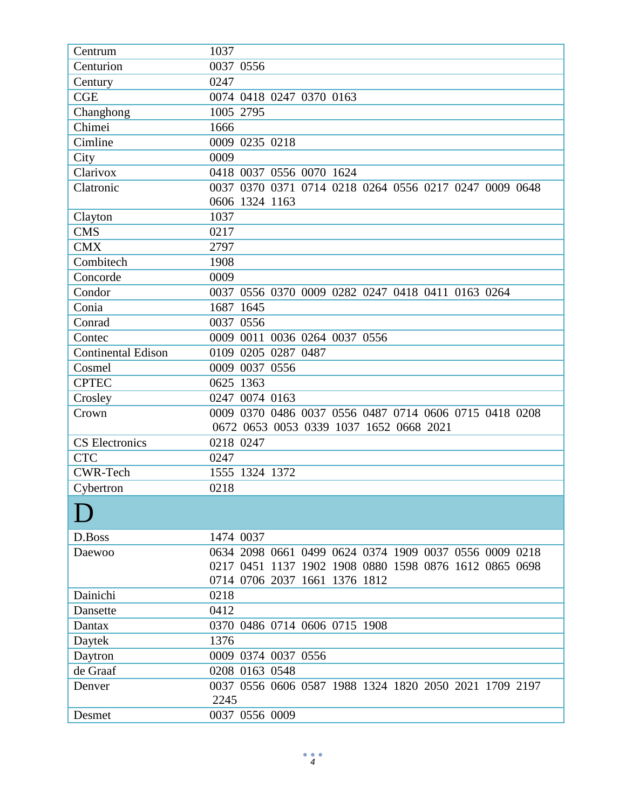| Centrum                   | 1037                                                   |
|---------------------------|--------------------------------------------------------|
| Centurion                 | 0037 0556                                              |
| Century                   | 0247                                                   |
| <b>CGE</b>                | 0074 0418 0247 0370 0163                               |
| Changhong                 | 1005 2795                                              |
| Chimei                    | 1666                                                   |
| Cimline                   | 0009 0235 0218                                         |
| City                      | 0009                                                   |
| Clarivox                  | 0418 0037 0556 0070 1624                               |
| Clatronic                 | 0037 0370 0371 0714 0218 0264 0556 0217 0247 0009 0648 |
|                           | 0606 1324 1163                                         |
| Clayton                   | 1037                                                   |
| <b>CMS</b>                | 0217                                                   |
| <b>CMX</b>                | 2797                                                   |
| Combitech                 | 1908                                                   |
| Concorde                  | 0009                                                   |
| Condor                    | 0037 0556 0370 0009 0282 0247 0418 0411 0163 0264      |
| Conia                     | 1687 1645                                              |
| Conrad                    | 0037 0556                                              |
| Contec                    | 0009 0011 0036 0264 0037 0556                          |
| <b>Continental Edison</b> | 0109 0205 0287 0487                                    |
| Cosmel                    | 0009 0037 0556                                         |
| <b>CPTEC</b>              | 0625 1363                                              |
| Crosley                   | 0247 0074 0163                                         |
| Crown                     | 0009 0370 0486 0037 0556 0487 0714 0606 0715 0418 0208 |
|                           | 0672 0653 0053 0339 1037 1652 0668 2021                |
| <b>CS</b> Electronics     | 0218 0247                                              |
| <b>CTC</b>                | 0247                                                   |
| <b>CWR-Tech</b>           | 1555 1324 1372                                         |
| Cybertron                 | 0218                                                   |
|                           |                                                        |
| D.Boss                    | 1474 0037                                              |
| Daewoo                    | 0634 2098 0661 0499 0624 0374 1909 0037 0556 0009 0218 |
|                           | 0217 0451 1137 1902 1908 0880 1598 0876 1612 0865 0698 |
|                           | 0714 0706 2037 1661 1376 1812                          |
| Dainichi                  | 0218                                                   |
| Dansette                  | 0412                                                   |
| Dantax                    | 0370 0486 0714 0606 0715 1908                          |
| Daytek                    | 1376                                                   |
| Daytron                   | 0009 0374 0037 0556                                    |
| de Graaf                  | 0208 0163 0548                                         |
| Denver                    | 0037 0556 0606 0587 1988 1324 1820 2050 2021 1709 2197 |
|                           | 2245                                                   |
| Desmet                    | 0037 0556 0009                                         |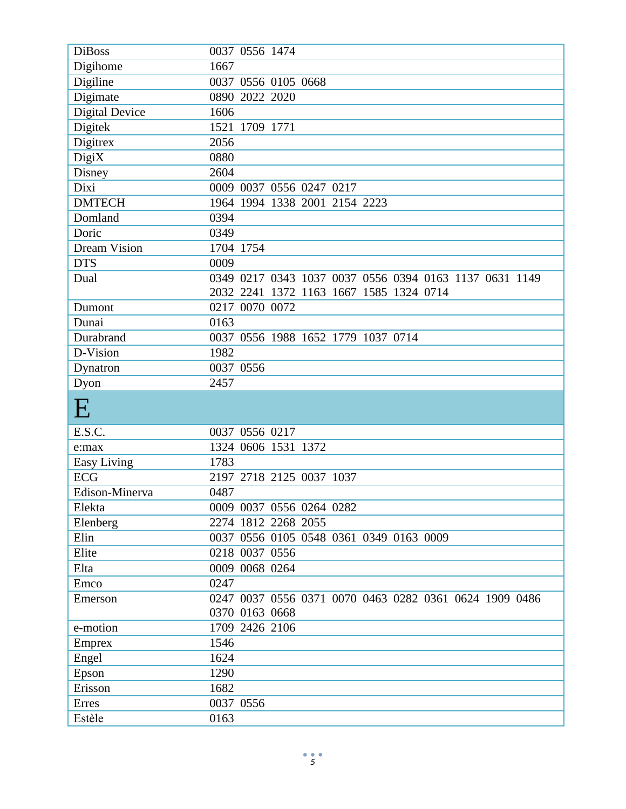| <b>DiBoss</b>       | 0037 0556 1474                                         |
|---------------------|--------------------------------------------------------|
| Digihome            | 1667                                                   |
| Digiline            | 0037 0556 0105 0668                                    |
| Digimate            | 0890 2022 2020                                         |
| Digital Device      | 1606                                                   |
| Digitek             | 1521 1709 1771                                         |
| Digitrex            | 2056                                                   |
| DigiX               | 0880                                                   |
| Disney              | 2604                                                   |
| Dixi                | 0009 0037 0556 0247 0217                               |
| <b>DMTECH</b>       | 1964 1994 1338 2001 2154 2223                          |
| Domland             | 0394                                                   |
| Doric               | 0349                                                   |
| <b>Dream Vision</b> | 1704 1754                                              |
| <b>DTS</b>          | 0009                                                   |
| Dual                | 0349 0217 0343 1037 0037 0556 0394 0163 1137 0631 1149 |
|                     | 2032 2241 1372 1163 1667 1585 1324 0714                |
| Dumont              | 0217 0070 0072                                         |
| Dunai               | 0163                                                   |
| Durabrand           | 0037 0556 1988 1652 1779 1037 0714                     |
| D-Vision            | 1982                                                   |
| Dynatron            | 0037 0556                                              |
|                     |                                                        |
| Dyon                | 2457                                                   |
| $\bf E$             |                                                        |
| E.S.C.              | 0037 0556 0217                                         |
| e:max               | 1324 0606 1531 1372                                    |
| Easy Living         | 1783                                                   |
| <b>ECG</b>          | 2197 2718 2125 0037 1037                               |
| Edison-Minerva      | 0487                                                   |
| Elekta              | 0009 0037 0556 0264 0282                               |
| Elenberg            | 2274 1812 2268 2055                                    |
| Elin                | 0037 0556 0105 0548 0361 0349 0163 0009                |
| Elite               | 0218 0037 0556                                         |
| Elta                | 0009 0068 0264                                         |
| Emco                | 0247                                                   |
| Emerson             | 0247 0037 0556 0371 0070 0463 0282 0361 0624 1909 0486 |
|                     | 0370 0163 0668                                         |
| e-motion            | 1709 2426 2106                                         |
| Emprex              | 1546                                                   |
| Engel               | 1624                                                   |
| Epson               | 1290                                                   |
| Erisson             | 1682                                                   |
| Erres<br>Estèle     | 0037 0556                                              |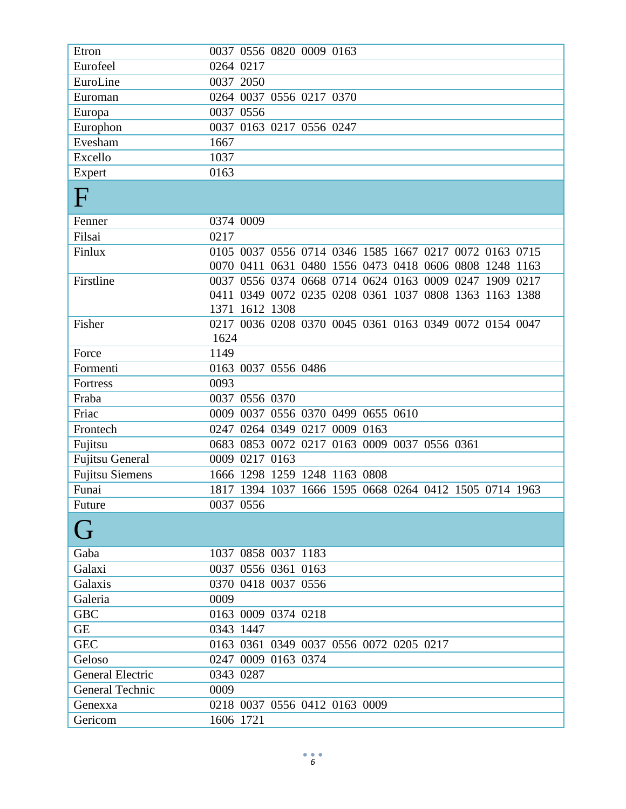| Etron                  | 0037 0556 0820 0009 0163                                                                                         |
|------------------------|------------------------------------------------------------------------------------------------------------------|
| Eurofeel               | 0264 0217                                                                                                        |
| EuroLine               | 0037 2050                                                                                                        |
| Euroman                | 0264 0037 0556 0217 0370                                                                                         |
| Europa                 | 0037 0556                                                                                                        |
| Europhon               | 0037 0163 0217 0556 0247                                                                                         |
| Evesham                | 1667                                                                                                             |
| Excello                | 1037                                                                                                             |
| Expert                 | 0163                                                                                                             |
| F                      |                                                                                                                  |
| Fenner                 | 0374 0009                                                                                                        |
| Filsai                 | 0217                                                                                                             |
| Finlux                 | 0105 0037 0556 0714 0346 1585 1667 0217 0072 0163 0715<br>0070 0411 0631 0480 1556 0473 0418 0606 0808 1248 1163 |
| Firstline              | 0037 0556 0374 0668 0714 0624 0163 0009 0247 1909 0217                                                           |
|                        | 0411 0349 0072 0235 0208 0361 1037 0808 1363 1163 1388                                                           |
|                        | 1371 1612 1308                                                                                                   |
| Fisher                 | 0217 0036 0208 0370 0045 0361 0163 0349 0072 0154 0047                                                           |
|                        | 1624                                                                                                             |
| Force                  | 1149                                                                                                             |
| Formenti               | 0163 0037 0556 0486                                                                                              |
| Fortress               | 0093                                                                                                             |
| Fraba                  | 0037<br>0556 0370                                                                                                |
| Friac                  | 0009 0037 0556 0370 0499 0655 0610                                                                               |
| Frontech               | 0264 0349 0217 0009 0163<br>0247                                                                                 |
| Fujitsu                | 0683 0853 0072 0217 0163 0009 0037 0556 0361                                                                     |
| <b>Fujitsu General</b> | 0217 0163<br>0009                                                                                                |
| <b>Fujitsu Siemens</b> | 1666 1298 1259 1248 1163 0808                                                                                    |
| Funai                  | 1817 1394 1037 1666 1595 0668 0264 0412 1505 0714 1963                                                           |
| Future                 | 0037 0556                                                                                                        |
| ( <del>]</del>         |                                                                                                                  |
| Gaba                   | 1037 0858 0037 1183                                                                                              |
| Galaxi                 | 0037 0556 0361 0163                                                                                              |
| Galaxis                | 0370 0418 0037 0556                                                                                              |
| Galeria                | 0009                                                                                                             |
| <b>GBC</b>             | 0163 0009 0374 0218                                                                                              |
| <b>GE</b>              | 0343 1447                                                                                                        |
| <b>GEC</b>             | 0163 0361 0349 0037 0556 0072 0205 0217                                                                          |
| Geloso                 | 0247 0009 0163 0374                                                                                              |
| General Electric       | 0343 0287                                                                                                        |
| General Technic        | 0009                                                                                                             |
| Genexxa                | 0218 0037 0556 0412 0163 0009                                                                                    |
| Gericom                | 1606 1721                                                                                                        |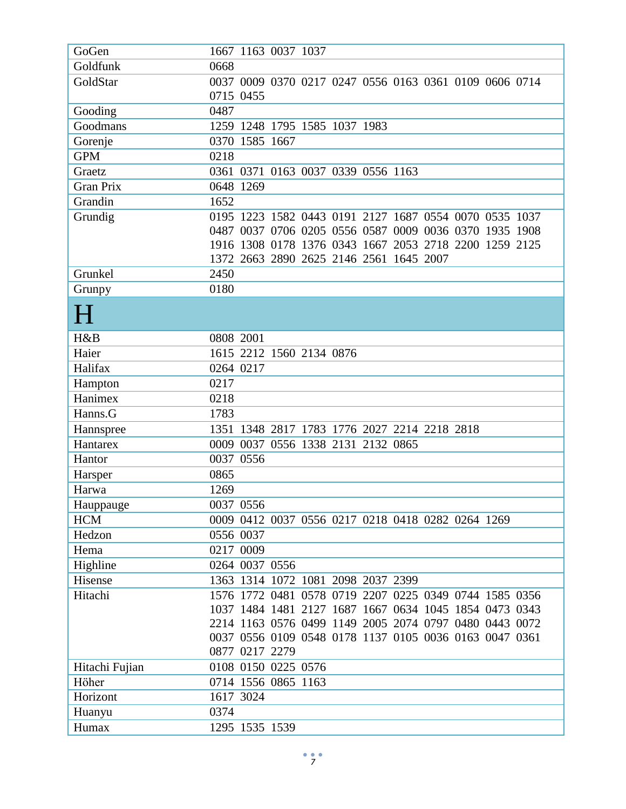| GoGen            | 1667 1163 0037 1037                                    |
|------------------|--------------------------------------------------------|
| Goldfunk         | 0668                                                   |
| GoldStar         | 0037 0009 0370 0217 0247 0556 0163 0361 0109 0606 0714 |
|                  | 0715 0455                                              |
| Gooding          | 0487                                                   |
| Goodmans         | 1259 1248 1795 1585 1037 1983                          |
| Gorenje          | 0370 1585 1667                                         |
| <b>GPM</b>       | 0218                                                   |
| Graetz           | 0361 0371 0163 0037 0339 0556 1163                     |
| <b>Gran Prix</b> | 0648 1269                                              |
| Grandin          | 1652                                                   |
| Grundig          | 0195 1223 1582 0443 0191 2127 1687 0554 0070 0535 1037 |
|                  | 0487 0037 0706 0205 0556 0587 0009 0036 0370 1935 1908 |
|                  | 1916 1308 0178 1376 0343 1667 2053 2718 2200 1259 2125 |
|                  | 1372 2663 2890 2625 2146 2561 1645 2007                |
| Grunkel          | 2450                                                   |
| Grunpy           | 0180                                                   |
| H                |                                                        |
| H&B              | 0808 2001                                              |
| Haier            | 1615 2212 1560 2134 0876                               |
| Halifax          | 0264 0217                                              |
| Hampton          | 0217                                                   |
| Hanimex          | 0218                                                   |
| Hanns.G          | 1783                                                   |
| Hannspree        | 1351 1348 2817 1783 1776 2027 2214 2218 2818           |
| Hantarex         | 0009 0037 0556 1338 2131 2132 0865                     |
| Hantor           | 0037 0556                                              |
| Harsper          | 0865                                                   |
| Harwa            | 1269                                                   |
| Hauppauge        | 0037 0556                                              |
| <b>HCM</b>       | 0009 0412 0037 0556 0217 0218 0418 0282 0264 1269      |
| Hedzon           | 0556 0037                                              |
| Hema             | 0217 0009                                              |
| Highline         | 0264 0037 0556                                         |
| Hisense          | 1363 1314 1072 1081 2098 2037 2399                     |
| Hitachi          | 1576 1772 0481 0578 0719 2207 0225 0349 0744 1585 0356 |
|                  | 1037 1484 1481 2127 1687 1667 0634 1045 1854 0473 0343 |
|                  | 2214 1163 0576 0499 1149 2005 2074 0797 0480 0443 0072 |
|                  | 0037 0556 0109 0548 0178 1137 0105 0036 0163 0047 0361 |
|                  | 0877 0217 2279                                         |
| Hitachi Fujian   | 0108 0150 0225 0576                                    |
| Höher            | 0714 1556 0865 1163                                    |
| Horizont         | 1617 3024                                              |
| Huanyu           | 0374                                                   |
| Humax            | 1295 1535 1539                                         |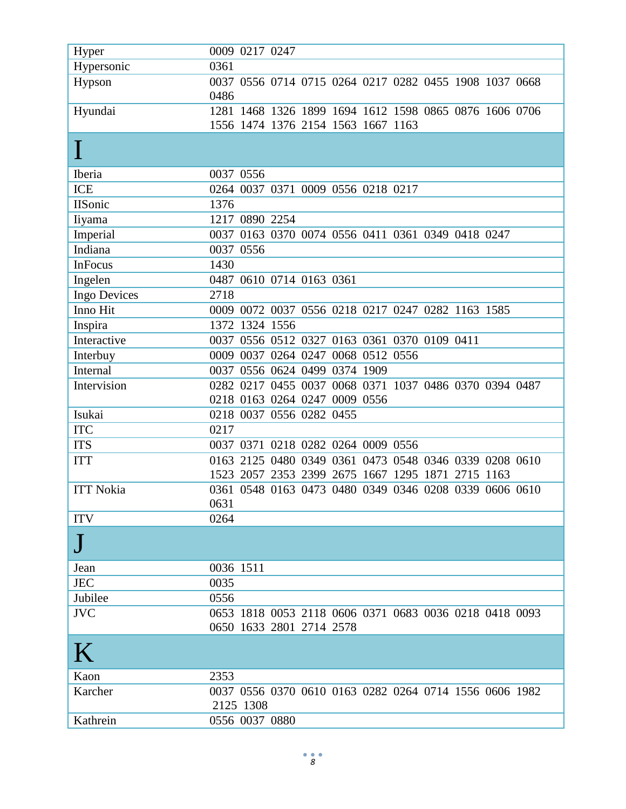| Hyper            | 0009 0217 0247                                         |
|------------------|--------------------------------------------------------|
| Hypersonic       | 0361                                                   |
| Hypson           | 0037 0556 0714 0715 0264 0217 0282 0455 1908 1037 0668 |
|                  | 0486                                                   |
| Hyundai          | 1281 1468 1326 1899 1694 1612 1598 0865 0876 1606 0706 |
|                  | 1556 1474 1376 2154 1563 1667 1163                     |
|                  |                                                        |
|                  |                                                        |
| Iberia           | 0037 0556                                              |
| <b>ICE</b>       | 0264 0037 0371 0009 0556 0218 0217                     |
| <b>IISonic</b>   | 1376                                                   |
| liyama           | 0890 2254<br>1217                                      |
| Imperial         | 0163 0370 0074 0556 0411 0361 0349 0418 0247<br>0037   |
| Indiana          | 0037<br>0556                                           |
| <b>InFocus</b>   | 1430                                                   |
| Ingelen          | 0487 0610 0714 0163 0361                               |
| Ingo Devices     | 2718                                                   |
| Inno Hit         | 0009 0072 0037 0556 0218 0217 0247 0282 1163 1585      |
| Inspira          | 1324 1556<br>1372                                      |
| Interactive      | 0037 0556 0512 0327 0163 0361 0370 0109 0411           |
| Interbuy         | 0009 0037 0264 0247 0068 0512 0556                     |
| Internal         | 0556 0624 0499 0374 1909<br>0037                       |
| Intervision      | 0282 0217 0455 0037 0068 0371 1037 0486 0370 0394 0487 |
|                  | 0218 0163 0264 0247 0009 0556                          |
| Isukai           | 0218 0037 0556 0282 0455                               |
| <b>ITC</b>       | 0217                                                   |
| <b>ITS</b>       | 0037 0371 0218 0282 0264 0009 0556                     |
| <b>ITT</b>       | 0163 2125 0480 0349 0361 0473 0548 0346 0339 0208 0610 |
|                  | 1523 2057 2353 2399 2675 1667 1295 1871 2715 1163      |
| <b>ITT Nokia</b> | 0361 0548 0163 0473 0480 0349 0346 0208 0339 0606 0610 |
|                  | 0631                                                   |
| <b>ITV</b>       | 0264                                                   |
|                  |                                                        |
|                  |                                                        |
| Jean             | 0036 1511                                              |
| <b>JEC</b>       | 0035                                                   |
| Jubilee          | 0556                                                   |
| <b>JVC</b>       | 0653 1818 0053 2118 0606 0371 0683 0036 0218 0418 0093 |
|                  | 0650 1633 2801 2714 2578                               |
| K                |                                                        |
|                  |                                                        |
| Kaon             | 2353                                                   |
| Karcher          | 0037 0556 0370 0610 0163 0282 0264 0714 1556 0606 1982 |
|                  | 2125 1308                                              |
| Kathrein         | 0556 0037 0880                                         |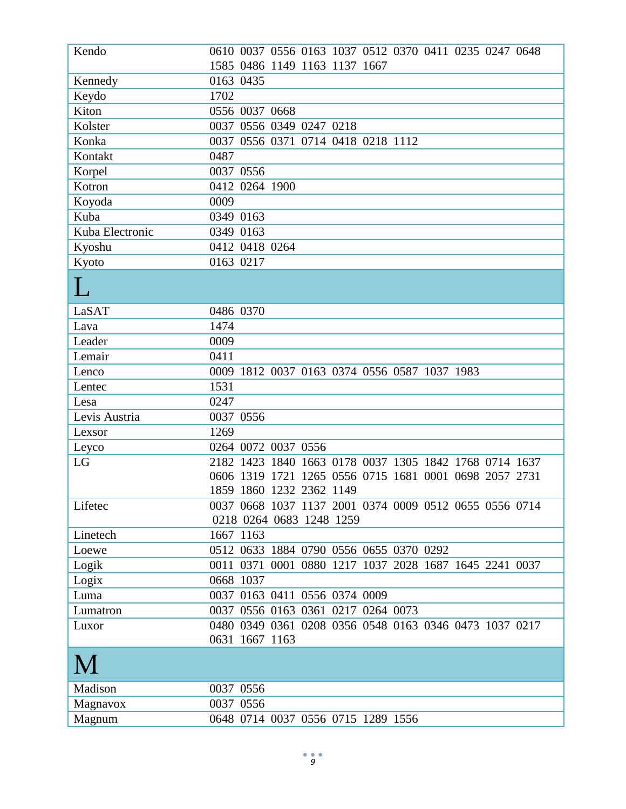| Kendo           | 0610 0037 0556 0163 1037 0512 0370 0411 0235 0247 0648 |
|-----------------|--------------------------------------------------------|
|                 | 1585 0486 1149 1163 1137 1667                          |
| Kennedy         | 0163 0435                                              |
| Keydo           | 1702                                                   |
| Kiton           | 0556 0037 0668                                         |
| Kolster         | 0037 0556 0349 0247 0218                               |
| Konka           | 0037<br>0556 0371 0714 0418 0218 1112                  |
| Kontakt         | 0487                                                   |
| Korpel          | 0037 0556                                              |
| Kotron          | 0412 0264 1900                                         |
| Koyoda          | 0009                                                   |
| Kuba            | 0349 0163                                              |
| Kuba Electronic | 0349 0163                                              |
| Kyoshu          | 0412 0418 0264                                         |
| Kyoto           | 0163 0217                                              |
|                 |                                                        |
| LaSAT           | 0486 0370                                              |
| Lava            | 1474                                                   |
| Leader          | 0009                                                   |
| Lemair          | 0411                                                   |
| Lenco           | 0009<br>1812 0037 0163 0374 0556 0587 1037 1983        |
| Lentec          | 1531                                                   |
| Lesa            | 0247                                                   |
| Levis Austria   | 0037 0556                                              |
| Lexsor          | 1269                                                   |
| Leyco           | 0264 0072 0037 0556                                    |
| LG              | 2182 1423 1840 1663 0178 0037 1305 1842 1768 0714 1637 |
|                 | 0606 1319 1721 1265 0556 0715 1681 0001 0698 2057 2731 |
|                 | 1859 1860 1232 2362 1149                               |
| Lifetec         | 0037 0668 1037 1137 2001 0374 0009 0512 0655 0556 0714 |
|                 | 0218 0264 0683 1248 1259                               |
| Linetech        | 1667 1163                                              |
| Loewe           | 0512 0633 1884 0790 0556 0655 0370 0292                |
| Logik           | 0011 0371 0001 0880 1217 1037 2028 1687 1645 2241 0037 |
| Logix           | 0668 1037                                              |
| Luma            | 0037 0163 0411 0556 0374 0009                          |
| Lumatron        | 0037 0556 0163 0361 0217 0264 0073                     |
| Luxor           | 0480 0349 0361 0208 0356 0548 0163 0346 0473 1037 0217 |
|                 | 0631 1667 1163                                         |
|                 |                                                        |
| Madison         | 0037 0556                                              |
| Magnavox        | 0037 0556                                              |
| Magnum          | 0648 0714 0037 0556 0715 1289 1556                     |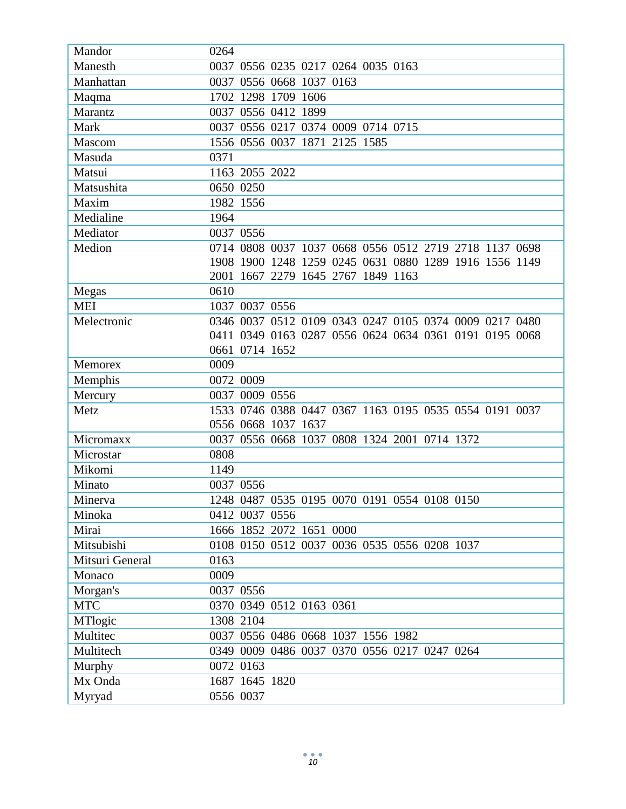| Mandor          | 0264                                                   |
|-----------------|--------------------------------------------------------|
| Manesth         | 0037 0556 0235 0217 0264 0035 0163                     |
| Manhattan       | 0037 0556 0668 1037 0163                               |
| Maqma           | 1702 1298 1709 1606                                    |
| Marantz         | 0037 0556 0412 1899                                    |
| Mark            | 0037 0556 0217 0374 0009 0714 0715                     |
| Mascom          | 1556 0556 0037 1871 2125 1585                          |
| Masuda          | 0371                                                   |
| Matsui          | 1163 2055 2022                                         |
| Matsushita      | 0650 0250                                              |
| Maxim           | 1982 1556                                              |
| Medialine       | 1964                                                   |
| Mediator        | 0037 0556                                              |
| Medion          | 0714 0808 0037 1037 0668 0556 0512 2719 2718 1137 0698 |
|                 | 1908 1900 1248 1259 0245 0631 0880 1289 1916 1556 1149 |
|                 | 2001 1667 2279 1645 2767 1849 1163                     |
| Megas           | 0610                                                   |
| <b>MEI</b>      | 1037 0037 0556                                         |
| Melectronic     | 0346 0037 0512 0109 0343 0247 0105 0374 0009 0217 0480 |
|                 | 0411 0349 0163 0287 0556 0624 0634 0361 0191 0195 0068 |
|                 | 0661 0714 1652                                         |
| Memorex         | 0009                                                   |
| Memphis         | 0072 0009                                              |
| Mercury         | 0037 0009 0556                                         |
| Metz            | 1533 0746 0388 0447 0367 1163 0195 0535 0554 0191 0037 |
|                 | 0556 0668 1037 1637                                    |
| Micromaxx       | 0037 0556 0668 1037 0808 1324 2001 0714 1372           |
| Microstar       | 0808                                                   |
| Mikomi          | 1149                                                   |
| Minato          | 0037 0556                                              |
| Minerva         | 1248 0487 0535 0195 0070 0191 0554 0108 0150           |
| Minoka          | 0412 0037 0556                                         |
| Mirai           | 1666 1852 2072 1651 0000                               |
| Mitsubishi      | 0108 0150 0512 0037 0036 0535 0556 0208 1037           |
| Mitsuri General | 0163                                                   |
| Monaco          | 0009                                                   |
| Morgan's        | 0037 0556                                              |
| <b>MTC</b>      | 0370 0349 0512 0163 0361                               |
| MTlogic         | 1308 2104                                              |
| Multitec        | 0037 0556 0486 0668 1037 1556 1982                     |
| Multitech       | 0349 0009 0486 0037 0370 0556 0217 0247 0264           |
| Murphy          | 0072 0163                                              |
| Mx Onda         | 1687 1645 1820                                         |
| Myryad          | 0556 0037                                              |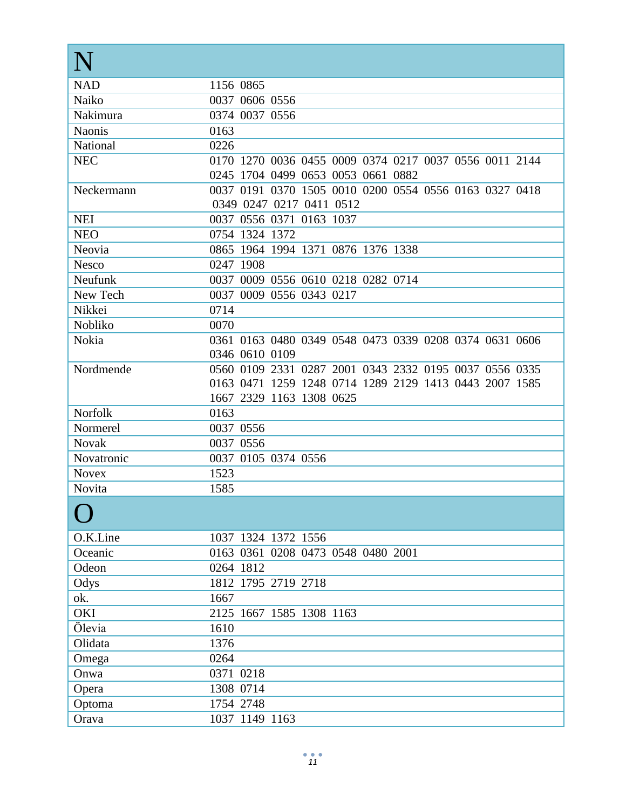| <b>NAD</b>     | 1156 0865                                                      |
|----------------|----------------------------------------------------------------|
| Naiko          | 0037 0606 0556                                                 |
| Nakimura       | 0374 0037 0556                                                 |
| <b>Naonis</b>  | 0163                                                           |
| National       | 0226                                                           |
| <b>NEC</b>     | 0170 1270 0036 0455 0009 0374 0217 0037 0556 0011 2144         |
|                | 0245 1704 0499 0653 0053 0661 0882                             |
| Neckermann     | 0037 0191 0370 1505 0010 0200 0554 0556 0163 0327 0418         |
|                | 0349 0247 0217 0411 0512                                       |
| <b>NEI</b>     | 0037 0556 0371 0163 1037                                       |
| <b>NEO</b>     | 0754 1324 1372                                                 |
| Neovia         | 0865 1964 1994 1371 0876 1376 1338                             |
| <b>Nesco</b>   | 0247 1908                                                      |
| <b>Neufunk</b> | 0037 0009 0556 0610 0218 0282 0714                             |
| New Tech       | 0037 0009 0556 0343 0217                                       |
| Nikkei         | 0714                                                           |
| Nobliko        | 0070<br>0361 0163 0480 0349 0548 0473 0339 0208 0374 0631 0606 |
| Nokia          | 0346 0610 0109                                                 |
| Nordmende      | 0560 0109 2331 0287 2001 0343 2332 0195 0037 0556 0335         |
|                | 0163 0471 1259 1248 0714 1289 2129 1413 0443 2007 1585         |
|                | 1667 2329 1163 1308 0625                                       |
| <b>Norfolk</b> | 0163                                                           |
| Normerel       | 0037 0556                                                      |
| <b>Novak</b>   | 0037 0556                                                      |
| Novatronic     | 0037 0105 0374 0556                                            |
| <b>Novex</b>   | 1523                                                           |
| <b>Novita</b>  | 1585                                                           |
|                |                                                                |
| O.K.Line       | 1037 1324 1372 1556                                            |
| Oceanic        | 0163 0361 0208 0473 0548 0480 2001                             |
| Odeon          | 0264 1812                                                      |
| Odys           | 1812 1795 2719 2718                                            |
| ok.            | 1667                                                           |
| OKI            | 2125 1667 1585 1308 1163                                       |
| Ölevia         | 1610                                                           |
| Olidata        | 1376                                                           |
| Omega          | 0264                                                           |
| Onwa           | 0371 0218                                                      |
| Opera          | 1308 0714                                                      |
| Optoma         | 1754 2748                                                      |
| Orava          | 1037 1149 1163                                                 |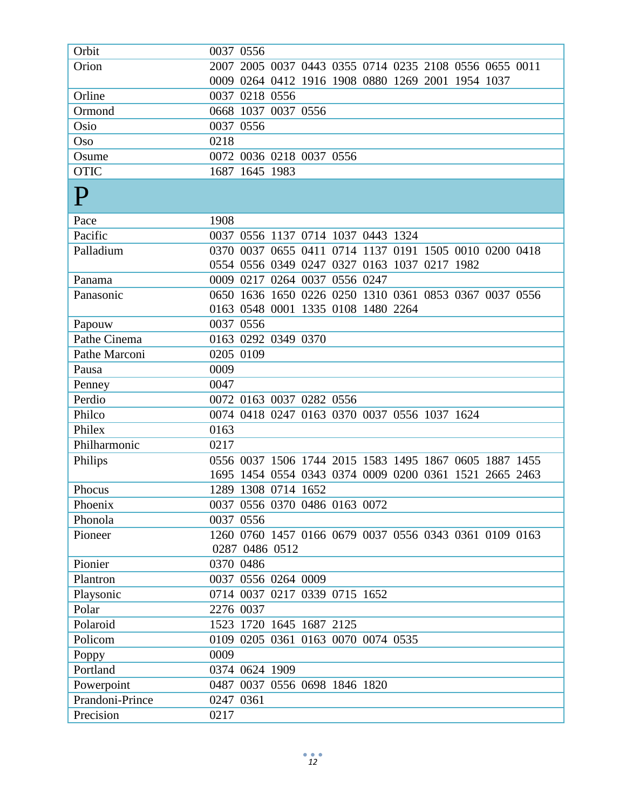| Orbit           | 0037 0556                                              |
|-----------------|--------------------------------------------------------|
| Orion           | 2007 2005 0037 0443 0355 0714 0235 2108 0556 0655 0011 |
|                 | 0009 0264 0412 1916 1908 0880 1269 2001 1954 1037      |
| Orline          | 0037 0218 0556                                         |
| Ormond          | 0668 1037 0037 0556                                    |
| Osio            | 0037 0556                                              |
| Oso             | 0218                                                   |
| Osume           | 0072 0036 0218 0037 0556                               |
| <b>OTIC</b>     | 1687 1645 1983                                         |
| $\mathbf P$     |                                                        |
| Pace            | 1908                                                   |
| Pacific         | 0037 0556 1137 0714 1037 0443 1324                     |
| Palladium       | 0370 0037 0655 0411 0714 1137 0191 1505 0010 0200 0418 |
|                 | 0554 0556 0349 0247 0327 0163 1037 0217 1982           |
| Panama          | 0009 0217 0264 0037 0556 0247                          |
| Panasonic       | 0650 1636 1650 0226 0250 1310 0361 0853 0367 0037 0556 |
|                 | 0163 0548 0001 1335 0108 1480 2264                     |
| Papouw          | 0037 0556                                              |
| Pathe Cinema    | 0163 0292 0349 0370                                    |
| Pathe Marconi   | 0205 0109                                              |
| Pausa           | 0009                                                   |
| Penney          | 0047                                                   |
| Perdio          | 0072 0163 0037 0282 0556                               |
| Philco          | 0074 0418 0247 0163 0370 0037 0556 1037 1624           |
| Philex          | 0163                                                   |
| Philharmonic    | 0217                                                   |
| Philips         | 0556 0037 1506 1744 2015 1583 1495 1867 0605 1887 1455 |
|                 | 1695 1454 0554 0343 0374 0009 0200 0361 1521 2665 2463 |
| Phocus          | 1289 1308 0714 1652                                    |
| Phoenix         | 0037 0556 0370 0486 0163 0072                          |
| Phonola         | 0037 0556                                              |
| Pioneer         | 1260 0760 1457 0166 0679 0037 0556 0343 0361 0109 0163 |
|                 | 0287 0486 0512                                         |
| Pionier         | 0370 0486                                              |
| Plantron        | 0037 0556 0264 0009                                    |
| Playsonic       | 0714 0037 0217 0339 0715 1652                          |
| Polar           | 2276 0037                                              |
| Polaroid        | 1523 1720 1645 1687 2125                               |
| Policom         | 0109 0205 0361 0163 0070 0074 0535                     |
| Poppy           | 0009                                                   |
| Portland        | 0374 0624 1909                                         |
| Powerpoint      | 0487 0037 0556 0698 1846 1820                          |
| Prandoni-Prince | 0247 0361                                              |
| Precision       | 0217                                                   |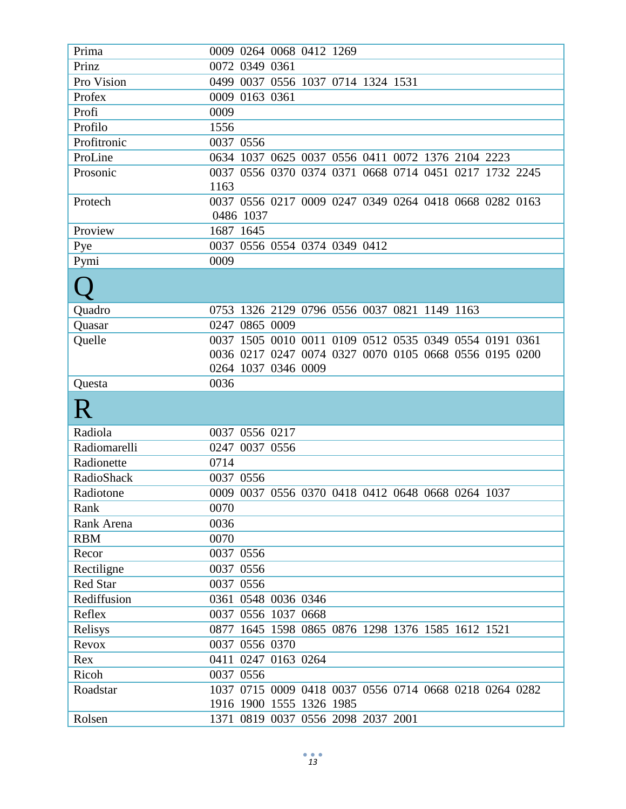| Prima        | 0009 0264 0068 0412 1269                                       |
|--------------|----------------------------------------------------------------|
| Prinz        | 0072 0349 0361                                                 |
| Pro Vision   | 0037 0556 1037 0714 1324 1531<br>0499                          |
| Profex       | 0009 0163 0361                                                 |
| Profi        | 0009                                                           |
| Profilo      | 1556                                                           |
| Profitronic  | 0037 0556                                                      |
| ProLine      | 0634 1037 0625 0037 0556 0411 0072 1376 2104 2223              |
| Prosonic     | 0037 0556 0370 0374 0371 0668 0714 0451 0217 1732 2245         |
|              | 1163                                                           |
| Protech      | 0037 0556 0217 0009 0247 0349 0264 0418 0668 0282 0163         |
|              | 0486 1037                                                      |
| Proview      | 1687 1645                                                      |
| Pye          | 0037 0556 0554 0374 0349 0412                                  |
| Pymi         | 0009                                                           |
|              |                                                                |
|              |                                                                |
| Quadro       | 0753 1326 2129 0796 0556 0037 0821 1149 1163                   |
| Quasar       | 0247 0865 0009                                                 |
| Quelle       | 0037 1505 0010 0011 0109 0512 0535 0349 0554 0191 0361         |
|              | 0036 0217 0247 0074 0327 0070 0105 0668 0556 0195 0200         |
|              | 0264 1037 0346 0009                                            |
|              |                                                                |
| Questa       | 0036                                                           |
|              |                                                                |
| R            |                                                                |
| Radiola      | 0037 0556 0217                                                 |
| Radiomarelli | 0247<br>0037 0556                                              |
| Radionette   | 0714                                                           |
| RadioShack   | 0037 0556                                                      |
| Radiotone    | 0009 0037 0556 0370 0418 0412 0648 0668 0264 1037              |
| Rank         | 0070                                                           |
| Rank Arena   | 0036                                                           |
| <b>RBM</b>   | 0070                                                           |
| Recor        | 0037 0556                                                      |
| Rectiligne   | 0037 0556                                                      |
| Red Star     | 0037 0556                                                      |
| Rediffusion  | 0361 0548 0036 0346                                            |
| Reflex       | 0037 0556 1037 0668                                            |
| Relisys      | 1645 1598 0865 0876 1298 1376 1585 1612 1521<br>0877           |
| Revox        | 0037 0556 0370                                                 |
| Rex          | 0411 0247 0163 0264                                            |
| Ricoh        | 0037 0556                                                      |
| Roadstar     | 1037 0715 0009 0418 0037 0556 0714 0668 0218 0264 0282         |
|              | 1916 1900 1555 1326 1985<br>1371 0819 0037 0556 2098 2037 2001 |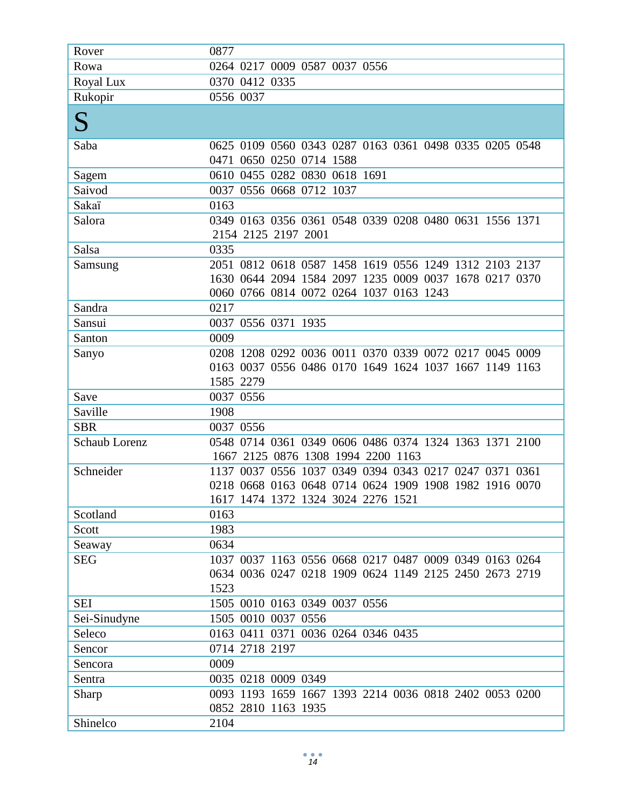| Rover                | 0877                                                                                         |
|----------------------|----------------------------------------------------------------------------------------------|
| Rowa                 | 0264 0217 0009 0587 0037 0556                                                                |
| Royal Lux            | 0370 0412 0335                                                                               |
| Rukopir              | 0556 0037                                                                                    |
| ${\bf S}$            |                                                                                              |
| Saba                 | 0625 0109 0560 0343 0287 0163 0361 0498 0335 0205 0548<br>0471 0650 0250 0714 1588           |
| Sagem                | 0610 0455 0282 0830 0618 1691                                                                |
| Saivod               | 0037 0556 0668 0712 1037                                                                     |
| Sakaï                | 0163                                                                                         |
| Salora               | 0349 0163 0356 0361 0548 0339 0208 0480 0631 1556 1371<br>2154 2125 2197 2001                |
| Salsa                | 0335                                                                                         |
| Samsung              | 2051 0812 0618 0587 1458 1619 0556 1249 1312 2103 2137                                       |
|                      | 1630 0644 2094 1584 2097 1235 0009 0037 1678 0217 0370                                       |
|                      | 0060 0766 0814 0072 0264 1037 0163 1243                                                      |
| Sandra               | 0217                                                                                         |
| Sansui               | 0037 0556 0371 1935                                                                          |
| Santon               | 0009                                                                                         |
| Sanyo                | 0208 1208 0292 0036 0011 0370 0339 0072 0217 0045 0009                                       |
|                      | 0163 0037 0556 0486 0170 1649 1624 1037 1667 1149 1163                                       |
|                      | 1585 2279                                                                                    |
| Save                 | 0037 0556                                                                                    |
| Saville              | 1908                                                                                         |
| <b>SBR</b>           | 0037 0556                                                                                    |
| <b>Schaub Lorenz</b> | 0548 0714 0361 0349 0606 0486 0374 1324 1363 1371 2100<br>1667 2125 0876 1308 1994 2200 1163 |
| Schneider            | 1137 0037 0556 1037 0349 0394 0343 0217 0247 0371 0361                                       |
|                      | 0218 0668 0163 0648 0714 0624 1909 1908 1982 1916 0070                                       |
|                      | 1617 1474 1372 1324 3024 2276 1521                                                           |
| Scotland             | 0163                                                                                         |
| Scott                | 1983                                                                                         |
| Seaway               | 0634                                                                                         |
| <b>SEG</b>           | 1037 0037 1163 0556 0668 0217 0487 0009 0349 0163 0264                                       |
|                      | 0634 0036 0247 0218 1909 0624 1149 2125 2450 2673 2719                                       |
|                      | 1523                                                                                         |
| <b>SEI</b>           | 1505 0010 0163 0349 0037 0556                                                                |
| Sei-Sinudyne         | 1505 0010 0037 0556                                                                          |
| Seleco               | 0163 0411 0371 0036 0264 0346 0435                                                           |
| Sencor               | 0714 2718 2197                                                                               |
| Sencora              | 0009                                                                                         |
| Sentra               | 0035 0218 0009 0349                                                                          |
| Sharp                | 0093 1193 1659 1667 1393 2214 0036 0818 2402 0053 0200                                       |
|                      | 0852 2810 1163 1935                                                                          |
| Shinelco             | 2104                                                                                         |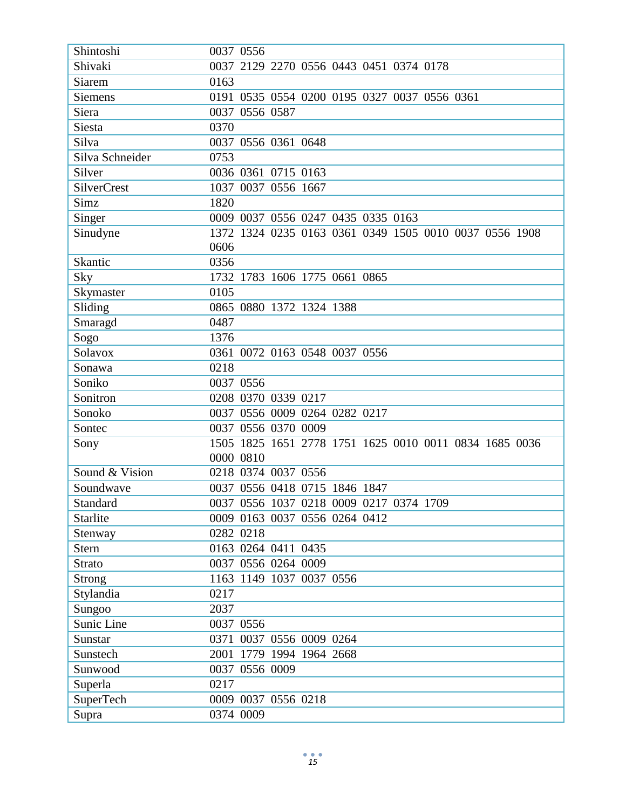| Shintoshi          | 0037 0556                                              |
|--------------------|--------------------------------------------------------|
| Shivaki            | 0037<br>2129 2270 0556 0443 0451 0374 0178             |
| <b>Siarem</b>      | 0163                                                   |
| Siemens            | 0535 0554 0200 0195 0327 0037 0556 0361<br>0191        |
| Siera              | 0037<br>0556 0587                                      |
| Siesta             | 0370                                                   |
| Silva              | 0556 0361 0648<br>0037                                 |
| Silva Schneider    | 0753                                                   |
| Silver             | 0036 0361 0715 0163                                    |
| <b>SilverCrest</b> | 0037 0556 1667<br>1037                                 |
| Simz               | 1820                                                   |
| Singer             | 0009 0037 0556 0247 0435 0335 0163                     |
| Sinudyne           | 1372 1324 0235 0163 0361 0349 1505 0010 0037 0556 1908 |
|                    | 0606                                                   |
| Skantic            | 0356                                                   |
| Sky                | 1732 1783 1606 1775 0661 0865                          |
| Skymaster          | 0105                                                   |
| Sliding            | 0865 0880 1372 1324 1388                               |
| Smaragd            | 0487                                                   |
| Sogo               | 1376                                                   |
| Solavox            | 0361<br>0072 0163 0548 0037 0556                       |
| Sonawa             | 0218                                                   |
| Soniko             | 0037 0556                                              |
| Sonitron           | 0208 0370 0339 0217                                    |
| Sonoko             | 0037 0556 0009 0264 0282 0217                          |
| Sontec             | 0037 0556 0370 0009                                    |
| Sony               | 1505 1825 1651 2778 1751 1625 0010 0011 0834 1685 0036 |
|                    | 0000 0810                                              |
| Sound & Vision     | 0218 0374 0037 0556                                    |
| Soundwave          | 0037 0556 0418 0715 1846 1847                          |
| Standard           | 0037 0556 1037 0218 0009 0217 0374 1709                |
| Starlite           | 0009 0163 0037 0556 0264 0412                          |
| Stenway            | 0282 0218                                              |
| <b>Stern</b>       | 0163 0264 0411 0435                                    |
| <b>Strato</b>      | 0037 0556 0264 0009                                    |
| <b>Strong</b>      | 1163 1149 1037 0037 0556                               |
| Stylandia          | 0217                                                   |
| Sungoo             | 2037                                                   |
| Sunic Line         | 0037 0556                                              |
| Sunstar            | 0371<br>0037 0556 0009 0264                            |
| Sunstech           | 2001 1779 1994 1964 2668                               |
| Sunwood            | 0037 0556 0009                                         |
| Superla            | 0217                                                   |
| SuperTech          | 0009 0037 0556 0218                                    |
| Supra              | 0374 0009                                              |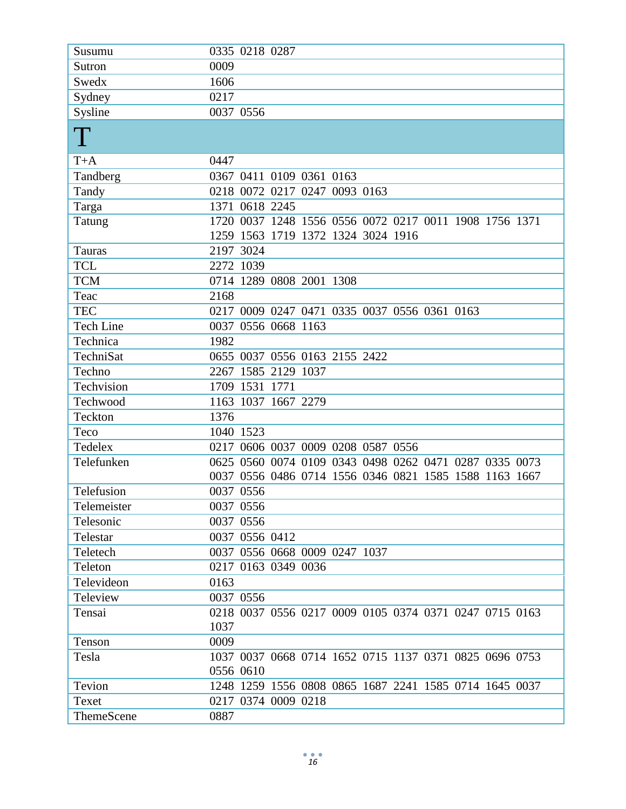| Susumu           | 0335 0218 0287                                                 |
|------------------|----------------------------------------------------------------|
| Sutron           | 0009                                                           |
| Swedx            | 1606                                                           |
| Sydney           | 0217                                                           |
| Sysline          | 0037 0556                                                      |
| $\rm T$          |                                                                |
| $T+A$            | 0447                                                           |
| Tandberg         | 0367 0411 0109 0361 0163                                       |
| Tandy            | 0218 0072 0217 0247 0093 0163                                  |
| Targa            | 1371 0618 2245                                                 |
| Tatung           | 1720 0037 1248 1556 0556 0072 0217 0011 1908 1756 1371         |
|                  | 1259 1563 1719 1372 1324 3024 1916                             |
| Tauras           | 2197 3024                                                      |
| <b>TCL</b>       | 2272 1039                                                      |
| <b>TCM</b>       | 0714 1289 0808 2001 1308                                       |
| Teac             | 2168                                                           |
| <b>TEC</b>       | 0217 0009 0247 0471 0335 0037 0556 0361 0163                   |
| <b>Tech Line</b> | 0037 0556 0668 1163                                            |
| Technica         | 1982                                                           |
| TechniSat        | 0655 0037 0556 0163 2155 2422                                  |
| Techno           | 2267 1585 2129 1037                                            |
| Techvision       | 1709 1531 1771                                                 |
| Techwood         | 1163 1037 1667 2279                                            |
| Teckton          | 1376                                                           |
| Teco             | 1040 1523                                                      |
| Tedelex          | 0217 0606 0037 0009 0208 0587 0556                             |
| Telefunken       | 0625 0560 0074 0109 0343 0498 0262 0471 0287 0335 0073         |
|                  | 0037 0556 0486 0714 1556 0346 0821 1585 1588 1163 1667         |
| Telefusion       | 0037 0556                                                      |
| Telemeister      | 0037 0556                                                      |
| Telesonic        | 0037 0556                                                      |
| Telestar         | 0037 0556 0412                                                 |
| Teletech         | 0037 0556 0668 0009 0247 1037                                  |
| Teleton          | 0217 0163 0349 0036                                            |
| Televideon       | 0163                                                           |
| Teleview         | 0037 0556                                                      |
| Tensai           | 0218 0037 0556 0217 0009 0105 0374 0371 0247 0715 0163<br>1037 |
| Tenson           | 0009                                                           |
| Tesla            | 1037 0037 0668 0714 1652 0715 1137 0371 0825 0696 0753         |
|                  | 0556 0610                                                      |
| Tevion           | 1248 1259 1556 0808 0865 1687 2241 1585 0714 1645 0037         |
| Texet            | 0217 0374 0009 0218                                            |
| ThemeScene       | 0887                                                           |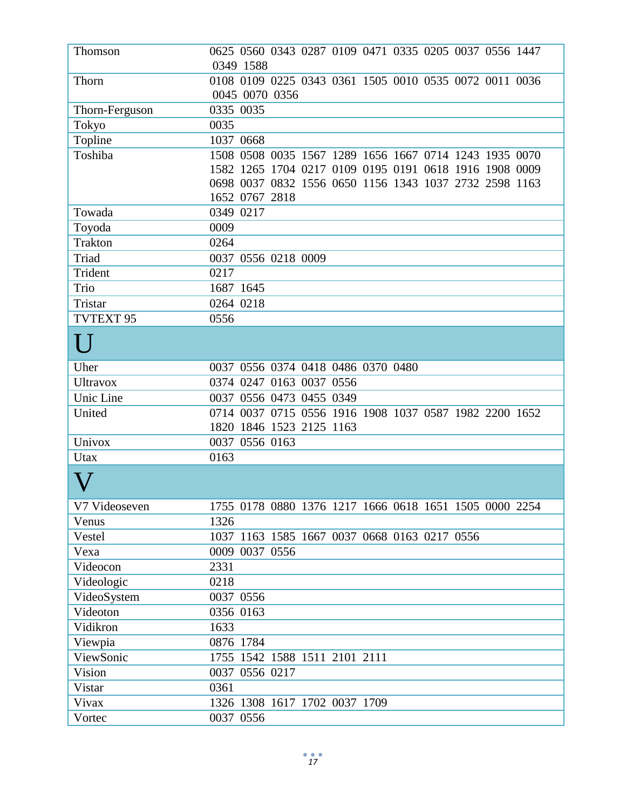| Thomson              | 0625 0560 0343 0287 0109 0471 0335 0205 0037 0556 1447 |
|----------------------|--------------------------------------------------------|
|                      | 0349 1588                                              |
| Thorn                | 0108 0109 0225 0343 0361 1505 0010 0535 0072 0011 0036 |
|                      | 0045 0070 0356                                         |
| Thorn-Ferguson       | 0335 0035                                              |
| Tokyo                | 0035                                                   |
| Topline              | 1037 0668                                              |
| Toshiba              | 1508 0508 0035 1567 1289 1656 1667 0714 1243 1935 0070 |
|                      | 1582 1265 1704 0217 0109 0195 0191 0618 1916 1908 0009 |
|                      | 0698 0037 0832 1556 0650 1156 1343 1037 2732 2598 1163 |
|                      | 1652 0767 2818                                         |
| Towada               | 0349 0217                                              |
| Toyoda               | 0009                                                   |
| <b>Trakton</b>       | 0264                                                   |
| Triad                | 0037 0556 0218 0009                                    |
| Trident              | 0217                                                   |
| Trio                 | 1687 1645                                              |
| Tristar              | 0264 0218                                              |
| TVTEXT <sub>95</sub> | 0556                                                   |
| U                    |                                                        |
| Uher                 | 0037 0556 0374 0418 0486 0370 0480                     |
| <b>Ultravox</b>      | 0374 0247 0163 0037 0556                               |
| Unic Line            | 0037 0556 0473 0455 0349                               |
| United               | 0714 0037 0715 0556 1916 1908 1037 0587 1982 2200 1652 |
|                      | 1820 1846 1523 2125 1163                               |
| Univox               | 0037 0556 0163                                         |
| Utax                 | 0163                                                   |
|                      |                                                        |
| V7 Videoseven        | 1755 0178 0880 1376 1217 1666 0618 1651 1505 0000 2254 |
| Venus                | 1326                                                   |
| Vestel               | 1037 1163 1585 1667 0037 0668 0163 0217 0556           |
| Vexa                 | 0009 0037 0556                                         |
| Videocon             | 2331                                                   |
| Videologic           | 0218                                                   |
| VideoSystem          | 0037 0556                                              |
| Videoton             | 0356 0163                                              |
| Vidikron             | 1633                                                   |
| Viewpia              | 0876 1784                                              |
| ViewSonic            | 1755 1542 1588 1511 2101 2111                          |
| Vision               | 0037 0556 0217                                         |
| Vistar               | 0361                                                   |
| Vivax                | 1326 1308 1617 1702 0037 1709                          |
| Vortec               | 0037 0556                                              |